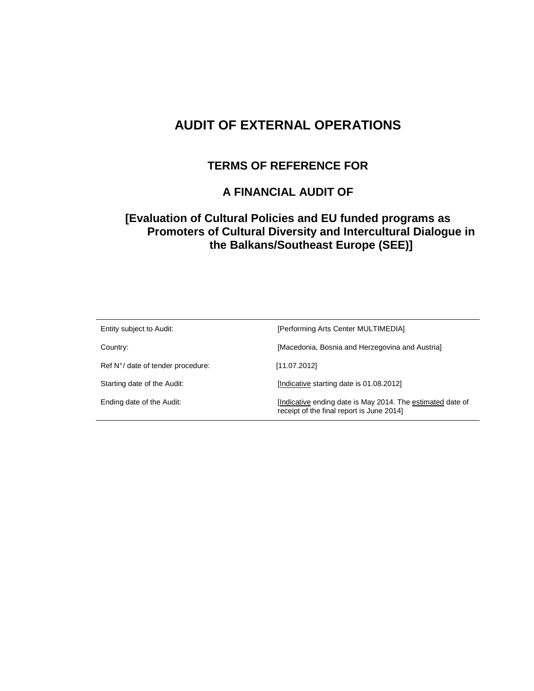# **AUDIT OF EXTERNAL OPERATIONS**

## **TERMS OF REFERENCE FOR**

## **A FINANCIAL AUDIT OF**

## **[Evaluation of Cultural Policies and EU funded programs as Promoters of Cultural Diversity and Intercultural Dialogue in the Balkans/Southeast Europe (SEE)]**

| Entity subject to Audit:          | [Performing Arts Center MULTIMEDIA]                                                                    |
|-----------------------------------|--------------------------------------------------------------------------------------------------------|
| Country:                          | [Macedonia, Bosnia and Herzegovina and Austria]                                                        |
| Ref N°/ date of tender procedure: | [11.07.2012]                                                                                           |
| Starting date of the Audit:       | [Indicative starting date is 01.08.2012]                                                               |
| Ending date of the Audit:         | Indicative ending date is May 2014. The estimated date of<br>receipt of the final report is June 2014] |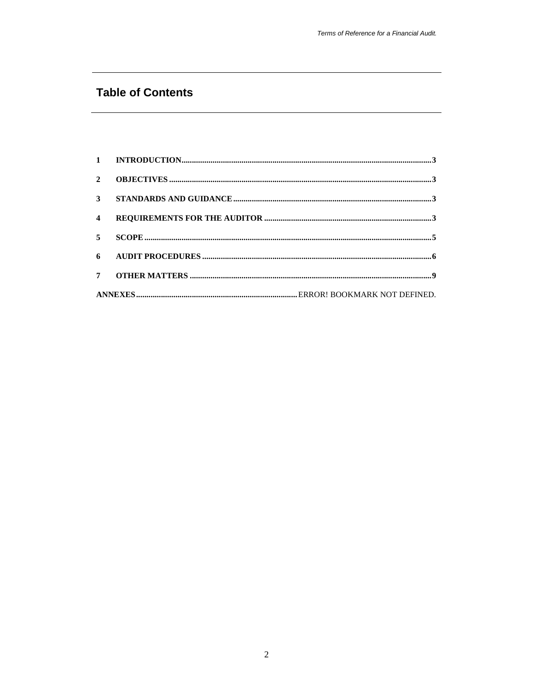# **Table of Contents**

| $\overline{2}$          |  |
|-------------------------|--|
|                         |  |
| $\overline{\mathbf{4}}$ |  |
| 5 <sup>1</sup>          |  |
|                         |  |
|                         |  |
|                         |  |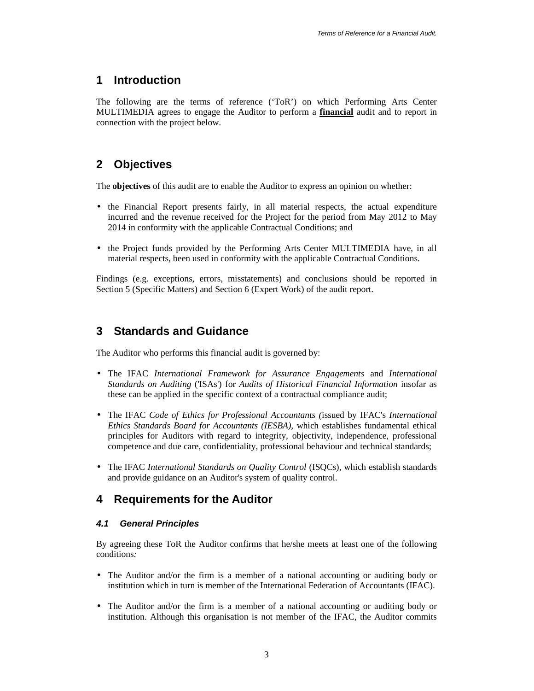## **1 Introduction**

The following are the terms of reference ('ToR') on which Performing Arts Center MULTIMEDIA agrees to engage the Auditor to perform a **financial** audit and to report in connection with the project below.

# **2 Objectives**

The **objectives** of this audit are to enable the Auditor to express an opinion on whether:

- the Financial Report presents fairly, in all material respects, the actual expenditure incurred and the revenue received for the Project for the period from May 2012 to May 2014 in conformity with the applicable Contractual Conditions; and
- the Project funds provided by the Performing Arts Center MULTIMEDIA have, in all material respects, been used in conformity with the applicable Contractual Conditions.

Findings (e.g. exceptions, errors, misstatements) and conclusions should be reported in Section 5 (Specific Matters) and Section 6 (Expert Work) of the audit report.

## **3 Standards and Guidance**

The Auditor who performs this financial audit is governed by:

- The IFAC *International Framework for Assurance Engagements* and *International Standards on Auditing* ('ISAs') for *Audits of Historical Financial Information* insofar as these can be applied in the specific context of a contractual compliance audit;
- The IFAC *Code of Ethics for Professional Accountants (*issued by IFAC's *International Ethics Standards Board for Accountants (IESBA)*, which establishes fundamental ethical principles for Auditors with regard to integrity, objectivity, independence, professional competence and due care, confidentiality, professional behaviour and technical standards;
- The IFAC *International Standards on Quality Control* (ISQCs), which establish standards and provide guidance on an Auditor's system of quality control.

## **4 Requirements for the Auditor**

## **4.1 General Principles**

By agreeing these ToR the Auditor confirms that he/she meets at least one of the following conditions*:* 

- The Auditor and/or the firm is a member of a national accounting or auditing body or institution which in turn is member of the International Federation of Accountants (IFAC).
- The Auditor and/or the firm is a member of a national accounting or auditing body or institution. Although this organisation is not member of the IFAC, the Auditor commits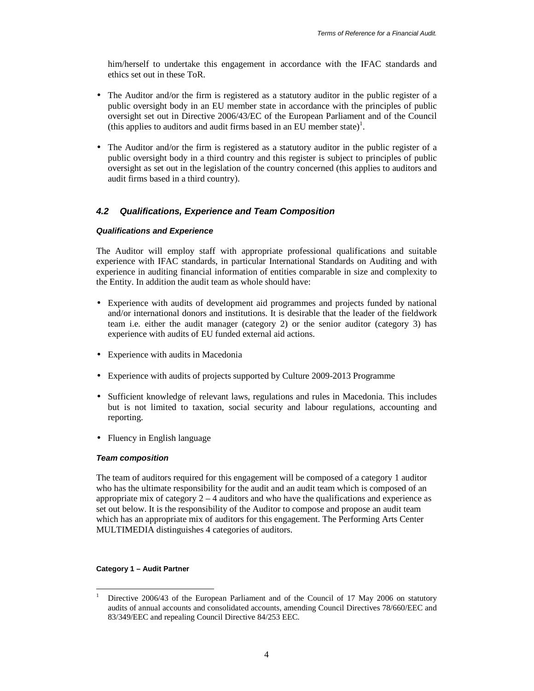him/herself to undertake this engagement in accordance with the IFAC standards and ethics set out in these ToR.

- The Auditor and/or the firm is registered as a statutory auditor in the public register of a public oversight body in an EU member state in accordance with the principles of public oversight set out in Directive 2006/43/EC of the European Parliament and of the Council (this applies to auditors and audit firms based in an EU member state)<sup>1</sup>.
- The Auditor and/or the firm is registered as a statutory auditor in the public register of a public oversight body in a third country and this register is subject to principles of public oversight as set out in the legislation of the country concerned (this applies to auditors and audit firms based in a third country).

## **4.2 Qualifications, Experience and Team Composition**

### **Qualifications and Experience**

The Auditor will employ staff with appropriate professional qualifications and suitable experience with IFAC standards, in particular International Standards on Auditing and with experience in auditing financial information of entities comparable in size and complexity to the Entity. In addition the audit team as whole should have:

- Experience with audits of development aid programmes and projects funded by national and/or international donors and institutions. It is desirable that the leader of the fieldwork team i.e. either the audit manager (category 2) or the senior auditor (category 3) has experience with audits of EU funded external aid actions.
- Experience with audits in Macedonia
- Experience with audits of projects supported by Culture 2009-2013 Programme
- Sufficient knowledge of relevant laws, regulations and rules in Macedonia. This includes but is not limited to taxation, social security and labour regulations, accounting and reporting.
- Fluency in English language

### **Team composition**

The team of auditors required for this engagement will be composed of a category 1 auditor who has the ultimate responsibility for the audit and an audit team which is composed of an appropriate mix of category  $2 - 4$  auditors and who have the qualifications and experience as set out below. It is the responsibility of the Auditor to compose and propose an audit team which has an appropriate mix of auditors for this engagement. The Performing Arts Center MULTIMEDIA distinguishes 4 categories of auditors.

### **Category 1 – Audit Partner**

 $\frac{1}{1}$  Directive 2006/43 of the European Parliament and of the Council of 17 May 2006 on statutory audits of annual accounts and consolidated accounts, amending Council Directives 78/660/EEC and 83/349/EEC and repealing Council Directive 84/253 EEC.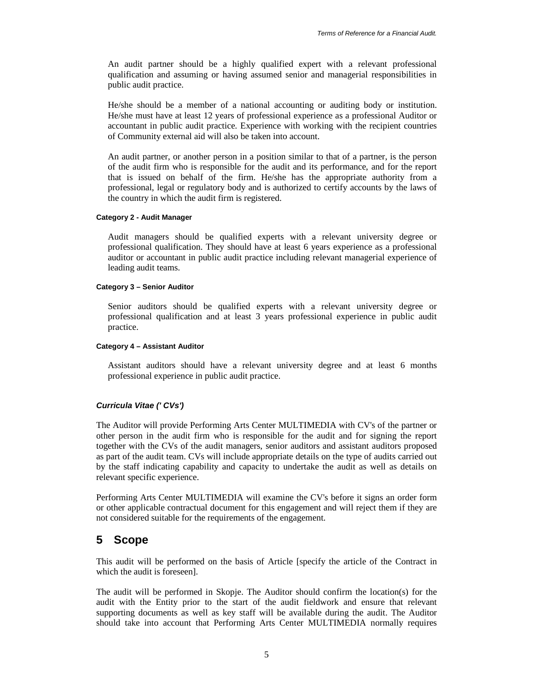An audit partner should be a highly qualified expert with a relevant professional qualification and assuming or having assumed senior and managerial responsibilities in public audit practice.

He/she should be a member of a national accounting or auditing body or institution. He/she must have at least 12 years of professional experience as a professional Auditor or accountant in public audit practice. Experience with working with the recipient countries of Community external aid will also be taken into account.

An audit partner, or another person in a position similar to that of a partner, is the person of the audit firm who is responsible for the audit and its performance, and for the report that is issued on behalf of the firm. He/she has the appropriate authority from a professional, legal or regulatory body and is authorized to certify accounts by the laws of the country in which the audit firm is registered.

#### **Category 2 - Audit Manager**

Audit managers should be qualified experts with a relevant university degree or professional qualification. They should have at least 6 years experience as a professional auditor or accountant in public audit practice including relevant managerial experience of leading audit teams.

#### **Category 3 – Senior Auditor**

Senior auditors should be qualified experts with a relevant university degree or professional qualification and at least 3 years professional experience in public audit practice.

#### **Category 4 – Assistant Auditor**

Assistant auditors should have a relevant university degree and at least 6 months professional experience in public audit practice.

#### **Curricula Vitae (' CVs')**

The Auditor will provide Performing Arts Center MULTIMEDIA with CV's of the partner or other person in the audit firm who is responsible for the audit and for signing the report together with the CVs of the audit managers, senior auditors and assistant auditors proposed as part of the audit team. CVs will include appropriate details on the type of audits carried out by the staff indicating capability and capacity to undertake the audit as well as details on relevant specific experience.

Performing Arts Center MULTIMEDIA will examine the CV's before it signs an order form or other applicable contractual document for this engagement and will reject them if they are not considered suitable for the requirements of the engagement.

## **5 Scope**

This audit will be performed on the basis of Article [specify the article of the Contract in which the audit is foreseen].

The audit will be performed in Skopje. The Auditor should confirm the location(s) for the audit with the Entity prior to the start of the audit fieldwork and ensure that relevant supporting documents as well as key staff will be available during the audit. The Auditor should take into account that Performing Arts Center MULTIMEDIA normally requires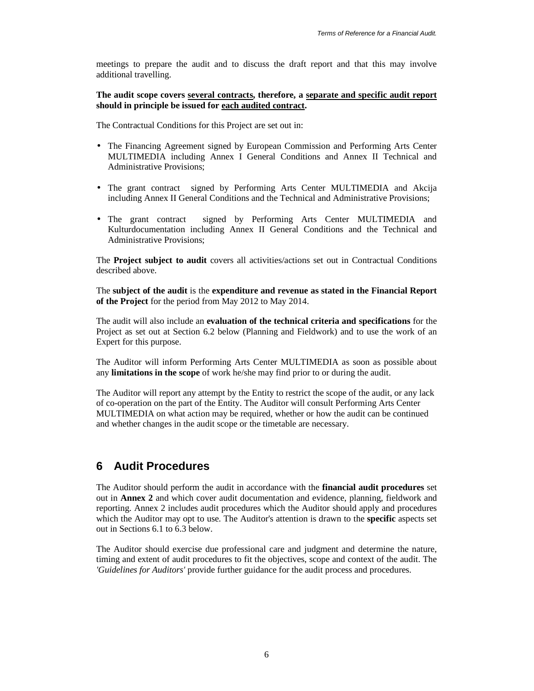meetings to prepare the audit and to discuss the draft report and that this may involve additional travelling.

**The audit scope covers several contracts, therefore, a separate and specific audit report should in principle be issued for each audited contract.** 

The Contractual Conditions for this Project are set out in:

- The Financing Agreement signed by European Commission and Performing Arts Center MULTIMEDIA including Annex I General Conditions and Annex II Technical and Administrative Provisions;
- The grant contract signed by Performing Arts Center MULTIMEDIA and Akcija including Annex II General Conditions and the Technical and Administrative Provisions;
- The grant contract signed by Performing Arts Center MULTIMEDIA and Kulturdocumentation including Annex II General Conditions and the Technical and Administrative Provisions;

The **Project subject to audit** covers all activities/actions set out in Contractual Conditions described above.

The **subject of the audit** is the **expenditure and revenue as stated in the Financial Report of the Project** for the period from May 2012 to May 2014.

The audit will also include an **evaluation of the technical criteria and specifications** for the Project as set out at Section 6.2 below (Planning and Fieldwork) and to use the work of an Expert for this purpose.

The Auditor will inform Performing Arts Center MULTIMEDIA as soon as possible about any **limitations in the scope** of work he/she may find prior to or during the audit.

The Auditor will report any attempt by the Entity to restrict the scope of the audit, or any lack of co-operation on the part of the Entity. The Auditor will consult Performing Arts Center MULTIMEDIA on what action may be required, whether or how the audit can be continued and whether changes in the audit scope or the timetable are necessary.

## **6 Audit Procedures**

The Auditor should perform the audit in accordance with the **financial audit procedures** set out in **Annex 2** and which cover audit documentation and evidence, planning, fieldwork and reporting. Annex 2 includes audit procedures which the Auditor should apply and procedures which the Auditor may opt to use. The Auditor's attention is drawn to the **specific** aspects set out in Sections 6.1 to 6.3 below.

The Auditor should exercise due professional care and judgment and determine the nature, timing and extent of audit procedures to fit the objectives, scope and context of the audit. The *'Guidelines for Auditors'* provide further guidance for the audit process and procedures.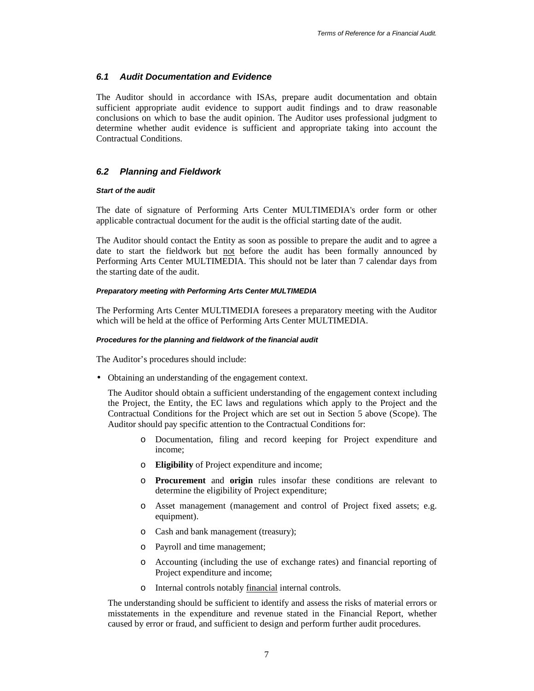## **6.1 Audit Documentation and Evidence**

The Auditor should in accordance with ISAs, prepare audit documentation and obtain sufficient appropriate audit evidence to support audit findings and to draw reasonable conclusions on which to base the audit opinion. The Auditor uses professional judgment to determine whether audit evidence is sufficient and appropriate taking into account the Contractual Conditions.

## **6.2 Planning and Fieldwork**

#### **Start of the audit**

The date of signature of Performing Arts Center MULTIMEDIA's order form or other applicable contractual document for the audit is the official starting date of the audit.

The Auditor should contact the Entity as soon as possible to prepare the audit and to agree a date to start the fieldwork but not before the audit has been formally announced by Performing Arts Center MULTIMEDIA. This should not be later than 7 calendar days from the starting date of the audit.

#### **Preparatory meeting with Performing Arts Center MULTIMEDIA**

The Performing Arts Center MULTIMEDIA foresees a preparatory meeting with the Auditor which will be held at the office of Performing Arts Center MULTIMEDIA.

#### **Procedures for the planning and fieldwork of the financial audit**

The Auditor's procedures should include:

• Obtaining an understanding of the engagement context.

The Auditor should obtain a sufficient understanding of the engagement context including the Project, the Entity, the EC laws and regulations which apply to the Project and the Contractual Conditions for the Project which are set out in Section 5 above (Scope). The Auditor should pay specific attention to the Contractual Conditions for:

- o Documentation, filing and record keeping for Project expenditure and income;
- o **Eligibility** of Project expenditure and income;
- o **Procurement** and **origin** rules insofar these conditions are relevant to determine the eligibility of Project expenditure;
- o Asset management (management and control of Project fixed assets; e.g. equipment).
- o Cash and bank management (treasury);
- o Payroll and time management;
- o Accounting (including the use of exchange rates) and financial reporting of Project expenditure and income;
- o Internal controls notably financial internal controls.

The understanding should be sufficient to identify and assess the risks of material errors or misstatements in the expenditure and revenue stated in the Financial Report, whether caused by error or fraud, and sufficient to design and perform further audit procedures.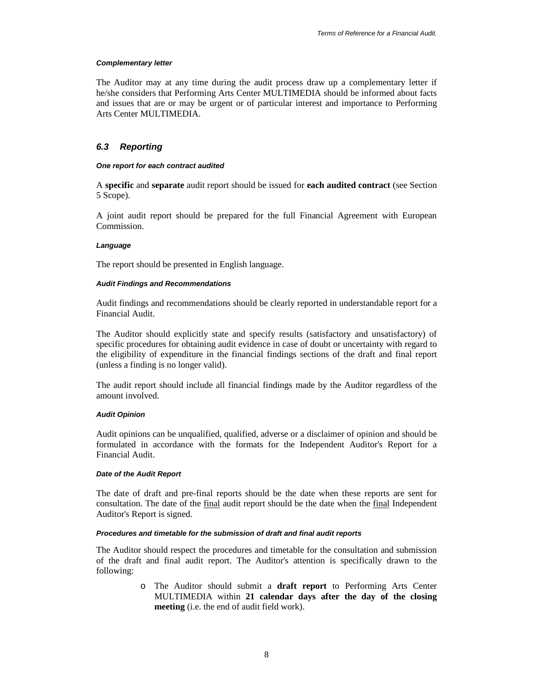### **Complementary letter**

The Auditor may at any time during the audit process draw up a complementary letter if he/she considers that Performing Arts Center MULTIMEDIA should be informed about facts and issues that are or may be urgent or of particular interest and importance to Performing Arts Center MULTIMEDIA.

## **6.3 Reporting**

### **One report for each contract audited**

A **specific** and **separate** audit report should be issued for **each audited contract** (see Section 5 Scope).

A joint audit report should be prepared for the full Financial Agreement with European Commission.

### **Language**

The report should be presented in English language.

### **Audit Findings and Recommendations**

Audit findings and recommendations should be clearly reported in understandable report for a Financial Audit.

The Auditor should explicitly state and specify results (satisfactory and unsatisfactory) of specific procedures for obtaining audit evidence in case of doubt or uncertainty with regard to the eligibility of expenditure in the financial findings sections of the draft and final report (unless a finding is no longer valid).

The audit report should include all financial findings made by the Auditor regardless of the amount involved.

## **Audit Opinion**

Audit opinions can be unqualified, qualified, adverse or a disclaimer of opinion and should be formulated in accordance with the formats for the Independent Auditor's Report for a Financial Audit.

### **Date of the Audit Report**

The date of draft and pre-final reports should be the date when these reports are sent for consultation. The date of the final audit report should be the date when the final Independent Auditor's Report is signed.

### **Procedures and timetable for the submission of draft and final audit reports**

The Auditor should respect the procedures and timetable for the consultation and submission of the draft and final audit report. The Auditor's attention is specifically drawn to the following:

> o The Auditor should submit a **draft report** to Performing Arts Center MULTIMEDIA within **21 calendar days after the day of the closing meeting** (i.e. the end of audit field work).